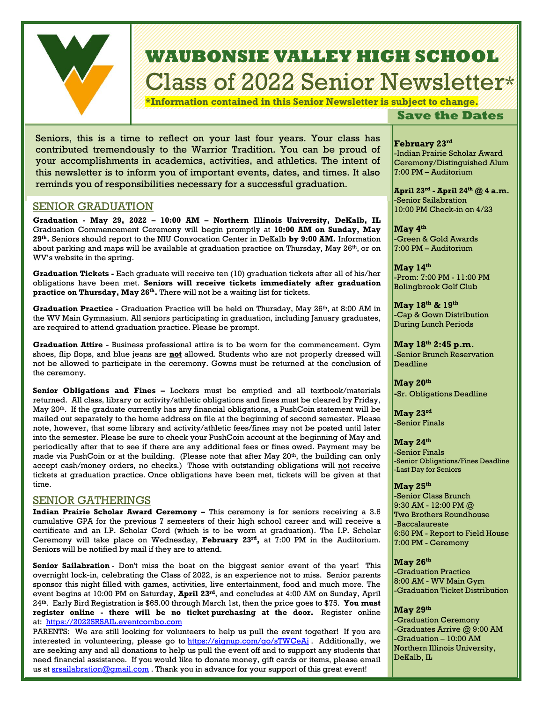

# **WAUBONSIE VALLEY HIGH SCHOOL** Class of 2022 Senior Newsletter\*

**\*Information contained in this Senior Newsletter is subject to change.**

## **Save the Dates**

Seniors, this is a time to reflect on your last four years. Your class has contributed tremendously to the Warrior Tradition. You can be proud of your accomplishments in academics, activities, and athletics. The intent of this newsletter is to inform you of important events, dates, and times. It also reminds you of responsibilities necessary for a successful graduation.

## SENIOR GRADUATION

**Graduation - May 29, 2022 – 10:00 AM – Northern Illinois University, DeKalb, IL** Graduation Commencement Ceremony will begin promptly at **10:00 AM on Sunday, May 29th .** Seniors should report to the NIU Convocation Center in DeKalb **by 9:00 AM.** Information about parking and maps will be available at graduation practice on Thursday, May  $26^{\text{th}}$ , or on WV's website in the spring.

**Graduation Tickets -** Each graduate will receive ten (10) graduation tickets after all of his/her obligations have been met. **Seniors will receive tickets immediately after graduation practice on Thursday, May 26 th .** There will not be a waiting list for tickets.

**Graduation Practice** - Graduation Practice will be held on Thursday, May 26<sup>th</sup>, at 8:00 AM in the WV Main Gymnasium. All seniors participating in graduation, including January graduates, are required to attend graduation practice. Please be prompt.

**Graduation Attire** - Business professional attire is to be worn for the commencement. Gym shoes, flip flops, and blue jeans are **not** allowed. Students who are not properly dressed will not be allowed to participate in the ceremony. Gowns must be returned at the conclusion of the ceremony.

**Senior Obligations and Fines –** Lockers must be emptied and all textbook/materials returned. All class, library or activity/athletic obligations and fines must be cleared by Friday, May 20<sup>th</sup>. If the graduate currently has any financial obligations, a PushCoin statement will be mailed out separately to the home address on file at the beginning of second semester. Please note, however, that some library and activity/athletic fees/fines may not be posted until later into the semester. Please be sure to check your PushCoin account at the beginning of May and periodically after that to see if there are any additional fees or fines owed. Payment may be made via PushCoin or at the building. (Please note that after May  $20<sup>th</sup>$ , the building can only accept cash/money orders, no checks.) Those with outstanding obligations will not receive tickets at graduation practice. Once obligations have been met, tickets will be given at that time.

### SENIOR GATHERINGS

**Indian Prairie Scholar Award Ceremony -** This ceremony is for seniors receiving a 3.6 cumulative GPA for the previous 7 semesters of their high school career and will receive a certificate and an I.P. Scholar Cord (which is to be worn at graduation). The I.P. Scholar Ceremony will take place on Wednesday, **February 23 rd ,** at 7:00 PM in the Auditorium. Seniors will be notified by mail if they are to attend.

**Senior Sailabration** - Don't miss the boat on the biggest senior event of the year! This overnight lock-in, celebrating the Class of 2022, is an experience not to miss. Senior parents sponsor this night filled with games, activities, live entertainment, food and much more. The event begins at 10:00 PM on Saturday, **April 23rd**, and concludes at 4:00 AM on Sunday, April 24th. Early Bird Registration is \$65.00 through March 1st, then the price goes to \$75. **You must register online - there will be no ticket purchasing at the door.** Register online at: [https://2022SRSAIL.eventcombo.com](https://linkprotect.cudasvc.com/url?a=https%3a%2f%2f2022SRSAIL.eventcombo.com&c=E,1,MNUn48ohjkss0yaAKetrhqBH4yPZazH889z8Km_u8G3siBOs0vnCOaXDixUvSygJeePx_egAuvuu9FCzHxhjHPIgQvquRelioxRAC7ToRuYWmLwHiOk,&typo=1) 

*Continued on other side* us at [srsailabration@gmail.com](mailto:srsailabration@gmail.com) . Thank you in advance for your support of this great event!PARENTS: We are still looking for volunteers to help us pull the event together! If you are interested in volunteering, please go to https://signup.com/go/sTWCe $\overline{A}$ j. Additionally, we are seeking any and all donations to help us pull the event off and to support any students that need financial assistance. If you would like to donate money, gift cards or items, please email

February 23<sup>rd</sup> -Indian Prairie Scholar Award Ceremony/Distinguished Alum 7:00 PM – Auditorium

**April 23rd - April 24th @ 4 a.m.** -Senior Sailabration 10:00 PM Check-in on 4/23

**May 4 th** -Green & Gold Awards 7:00 PM – Auditorium

**May 14th** -Prom: 7:00 PM - 11:00 PM Bolingbrook Golf Club

**May 18 th & 19th** -Cap & Gown Distribution During Lunch Periods

**May 18th 2:45 p.m.** -Senior Brunch Reservation **Deadline** 

**May 20th -**Sr. Obligations Deadline

**May 23 rd** -Senior Finals

**May 24 th** -Senior Finals -Senior Obligations/Fines Deadline -Last Day for Seniors

#### **May 25 th**

-Senior Class Brunch 9:30 AM - 12:00 PM @ Two Brothers Roundhouse -Baccalaureate 6:50 PM - Report to Field House 7:00 PM - Ceremony

#### **May 26 th**

-Graduation Practice 8:00 AM - WV Main Gym -Graduation Ticket Distribution

**May 29th**

-Graduation Ceremony -Graduates Arrive @ 9:00 AM -Graduation – 10:00 AM Northern Illinois University, DeKalb, IL